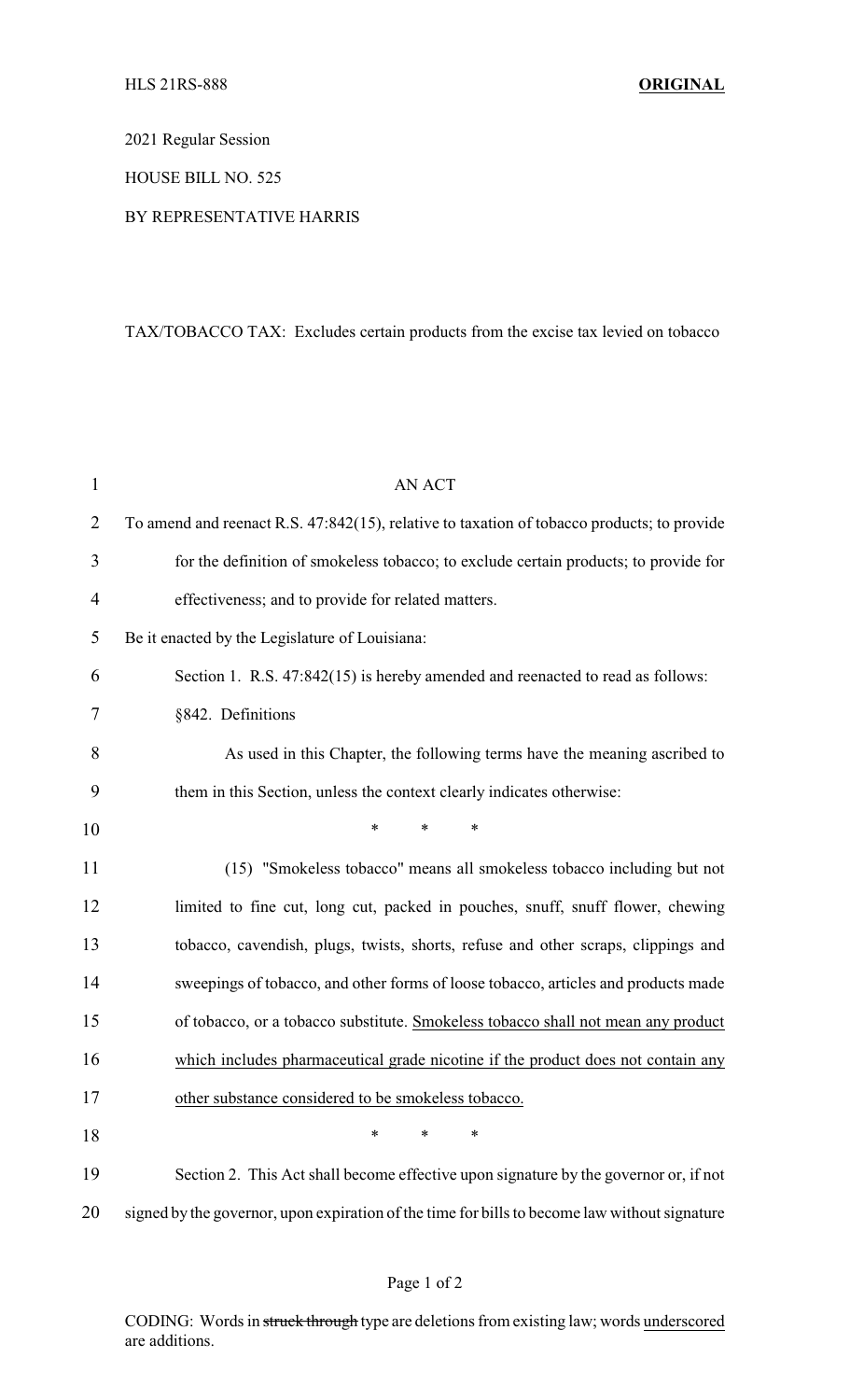2021 Regular Session

HOUSE BILL NO. 525

## BY REPRESENTATIVE HARRIS

## TAX/TOBACCO TAX: Excludes certain products from the excise tax levied on tobacco

| $\mathbf{1}$   | <b>AN ACT</b>                                                                              |
|----------------|--------------------------------------------------------------------------------------------|
| $\overline{2}$ | To amend and reenact R.S. 47:842(15), relative to taxation of tobacco products; to provide |
| 3              | for the definition of smokeless tobacco; to exclude certain products; to provide for       |
| $\overline{4}$ | effectiveness; and to provide for related matters.                                         |
| 5              | Be it enacted by the Legislature of Louisiana:                                             |
| 6              | Section 1. R.S. 47:842(15) is hereby amended and reenacted to read as follows:             |
| 7              | §842. Definitions                                                                          |
| 8              | As used in this Chapter, the following terms have the meaning ascribed to                  |
| 9              | them in this Section, unless the context clearly indicates otherwise:                      |
| 10             | $\ast$<br>$\ast$<br>∗                                                                      |
| 11             | (15) "Smokeless tobacco" means all smokeless tobacco including but not                     |
| 12             | limited to fine cut, long cut, packed in pouches, snuff, snuff flower, chewing             |
| 13             | tobacco, cavendish, plugs, twists, shorts, refuse and other scraps, clippings and          |
| 14             | sweepings of tobacco, and other forms of loose tobacco, articles and products made         |
| 15             | of tobacco, or a tobacco substitute. Smokeless tobacco shall not mean any product          |
| 16             | which includes pharmaceutical grade nicotine if the product does not contain any           |
| 17             | other substance considered to be smokeless tobacco.                                        |
| 18             | $\ast$<br>*<br>*                                                                           |
| 19             | Section 2. This Act shall become effective upon signature by the governor or, if not       |

20 signed by the governor, upon expiration of the time for bills to become law without signature

CODING: Words in struck through type are deletions from existing law; words underscored are additions.